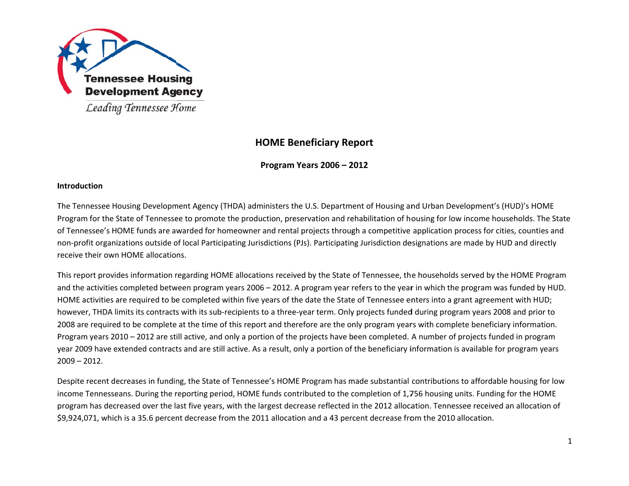

Leading Tennessee Home

# **HOME B eneficiary Re eport**

**Program m Years 2006 – 2 2012**

# **IIntroduction**

The Tennessee Housing Development Agency (THDA) administers the U.S. Department of Housing and Urban Development's (HUD)'s HOME Program for the State of Tennessee to promote the production, preservation and rehabilitation of housing for low income households. The State of Tennessee's HOME funds are awarded for homeowner and rental projects through a competitive application process for cities, counties and non-profit organizations outside of local Participating Jurisdictions (PJs). Participating Jurisdiction designations are made by HUD and directly receive their own HOME allocations.

This report provides information regarding HOME allocations received by the State of Tennessee, the households served by the HOME Program and the activities completed between program years 2006 – 2012. A program year refers to the year in which the program was funded by HUD. HOME activities are required to be completed within five years of the date the State of Tennessee enters into a grant agreement with HUD; however, THDA limits its contracts with its sub-recipients to a three-year term. Only projects funded during program years 2008 and prior to 2008 are required to be complete at the time of this report and therefore are the only program years with complete beneficiary information. Program years 2010 – 2012 are still active, and only a portion of the projects have been completed. A number of projects funded in program year 2009 have extended contracts and are still active. As a result, only a portion of the beneficiary information is available for program years 22009 – 2012.

Despite recent decreases in funding, the State of Tennessee's HOME Program has made substantial contributions to affordable housing for low iincome Tennesseans. During the reporting period, HOME funds contributed to the completion of 1,756 housing units. Funding for the HOME program has decreased over the last five years, with the largest decrease reflected in the 2012 allocation. Tennessee received an allocation of \$9,924,071, which is a 35.6 percent decrease from the 2011 allocation and a 43 percent decrease from the 2010 allocation.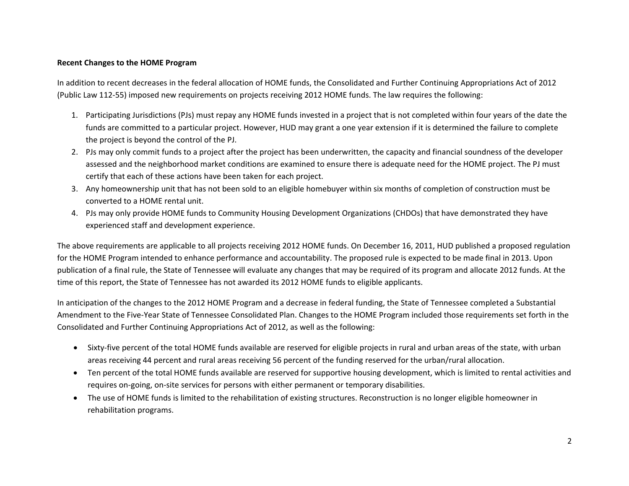# **Recent Changes to the HOME Program**

In addition to recent decreases in the federal allocation of HOME funds, the Consolidated and Further Continuing Appropriations Act of 2012 (Public Law 112‐55) imposed new requirements on projects receiving 2012 HOME funds. The law requires the following:

- 1. Participating Jurisdictions (PJs) must repay any HOME funds invested in <sup>a</sup> project that is not completed within four years of the date the funds are committed to <sup>a</sup> particular project. However, HUD may grant <sup>a</sup> one year extension if it is determined the failure to complete the project is beyond the control of the PJ.
- 2. PJs may only commit funds to <sup>a</sup> project after the project has been underwritten, the capacity and financial soundness of the developer assessed and the neighborhood market conditions are examined to ensure there is adequate need for the HOME project. The PJ must certify that each of these actions have been taken for each project.
- 3. Any homeownership unit that has not been sold to an eligible homebuyer within six months of completion of construction must be converted to <sup>a</sup> HOME rental unit.
- 4. PJs may only provide HOME funds to Community Housing Development Organizations (CHDOs) that have demonstrated they have experienced staff and development experience.

The above requirements are applicable to all projects receiving 2012 HOME funds. On December 16, 2011, HUD published <sup>a</sup> proposed regulation for the HOME Program intended to enhance performance and accountability. The proposed rule is expected to be made final in 2013. Upon publication of <sup>a</sup> final rule, the State of Tennessee will evaluate any changes that may be required of its program and allocate 2012 funds. At the time of this report, the State of Tennessee has not awarded its 2012 HOME funds to eligible applicants.

In anticipation of the changes to the 2012 HOME Program and <sup>a</sup> decrease in federal funding, the State of Tennessee completed <sup>a</sup> Substantial Amendment to the Five‐Year State of Tennessee Consolidated Plan. Changes to the HOME Program included those requirements set forth in the Consolidated and Further Continuing Appropriations Act of 2012, as well as the following:

- Sixty-five percent of the total HOME funds available are reserved for eligible projects in rural and urban areas of the state, with urban areas receiving 44 percent and rural areas receiving 56 percent of the funding reserved for the urban/rural allocation.
- Ten percent of the total HOME funds available are reserved for supportive housing development, which is limited to rental activities and requires on‐going, on‐site services for persons with either permanent or temporary disabilities.
- The use of HOME funds is limited to the rehabilitation of existing structures. Reconstruction is no longer eligible homeowner in rehabilitation programs.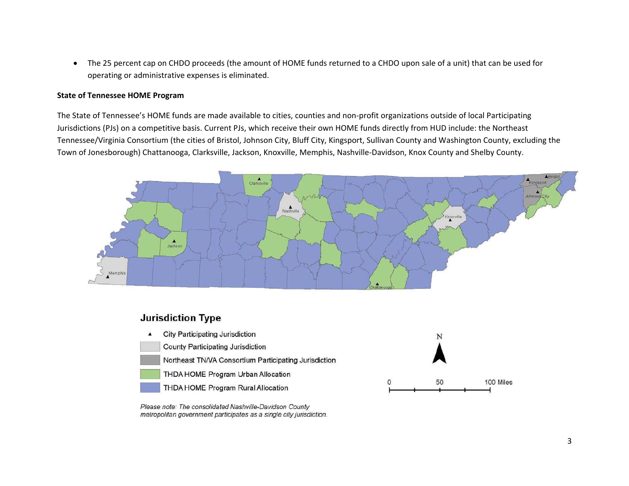The 25 percent cap on CHDO proceeds (the amount of HOME funds returned to <sup>a</sup> CHDO upon sale of <sup>a</sup> unit) that can be used for operating or administrative expenses is eliminated.

#### **State of Tennessee HOME Program**

The State of Tennessee's HOME funds are made available to cities, counties and non‐profit organizations outside of local Participating Jurisdictions (PJs) on <sup>a</sup> competitive basis. Current PJs, which receive their own HOME funds directly from HUD include: the Northeast Tennessee/Virginia Consortium (the cities of Bristol, Johnson City, Bluff City, Kingsport, Sullivan County and Washington County, excluding the Town of Jonesborough) Chattanooga, Clarksville, Jackson, Knoxville, Memphis, Nashville‐Davidson, Knox County and Shelby County.



# **Jurisdiction Type**



Please note: The consolidated Nashville-Davidson County metropolitan government participates as a single city jurisdiction.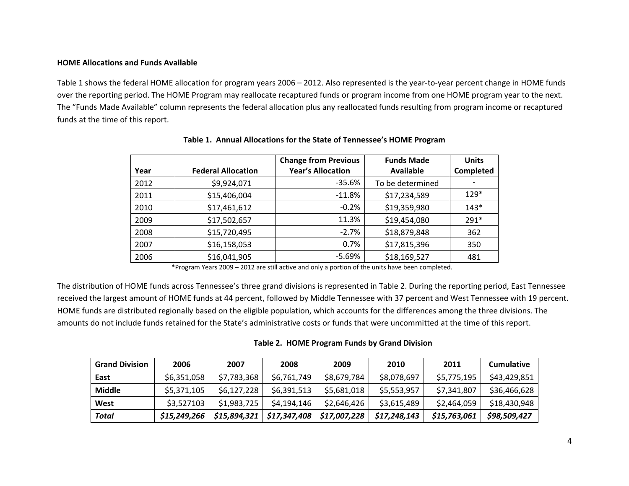### **HOME Allocations and Funds Available**

Table 1 shows the federal HOME allocation for program years 2006 – 2012. Also represented is the year-to-year percent change in HOME funds over the reporting period. The HOME Program may reallocate recaptured funds or program income from one HOME program year to the next. The "Funds Made Available" column represents the federal allocation plus any reallocated funds resulting from program income or recaptured funds at the time of this report.

|      |                           | <b>Change from Previous</b> | <b>Funds Made</b> | <b>Units</b> |
|------|---------------------------|-----------------------------|-------------------|--------------|
| Year | <b>Federal Allocation</b> | <b>Year's Allocation</b>    | Available         | Completed    |
| 2012 | \$9,924,071               | -35.6%                      | To be determined  |              |
| 2011 | \$15,406,004              | $-11.8%$                    | \$17,234,589      | $129*$       |
| 2010 | \$17,461,612              | $-0.2%$                     | \$19,359,980      | $143*$       |
| 2009 | \$17,502,657              | 11.3%                       | \$19,454,080      | $291*$       |
| 2008 | \$15,720,495              | $-2.7%$                     | \$18,879,848      | 362          |
| 2007 | \$16,158,053              | 0.7%                        | \$17,815,396      | 350          |
| 2006 | \$16,041,905              | $-5.69%$                    | \$18,169,527      | 481          |

### **Table 1. Annual Allocations for the State of Tennessee's HOME Program**

\*Program Years 2009 – 2012 are still active and only <sup>a</sup> portion of the units have been completed.

The distribution of HOME funds across Tennessee's three grand divisions is represented in Table 2. During the reporting period, East Tennessee received the largest amount of HOME funds at 44 percent, followed by Middle Tennessee with 37 percent and West Tennessee with 19 percent. HOME funds are distributed regionally based on the eligible population, which accounts for the differences among the three divisions. The amounts do not include funds retained for the State's administrative costs or funds that were uncommitted at the time of this report.

### **Table 2. HOME Program Funds by Grand Division**

| <b>Grand Division</b> | 2006         | 2007         | 2008         | 2009         | 2010         | 2011         | <b>Cumulative</b> |
|-----------------------|--------------|--------------|--------------|--------------|--------------|--------------|-------------------|
| East                  | \$6,351,058  | \$7,783,368  | \$6,761,749  | \$8,679,784  | \$8,078,697  | \$5,775,195  | \$43,429,851      |
| <b>Middle</b>         | \$5,371,105  | \$6,127,228  | \$6,391,513  | \$5,681,018  | \$5,553,957  | \$7,341,807  | \$36,466,628      |
| West                  | \$3,527103   | \$1,983,725  | \$4,194,146  | \$2,646,426  | \$3,615,489  | \$2,464,059  | \$18,430,948      |
| Total                 | \$15,249,266 | \$15,894,321 | \$17,347,408 | \$17,007,228 | \$17,248,143 | \$15,763,061 | \$98,509,427      |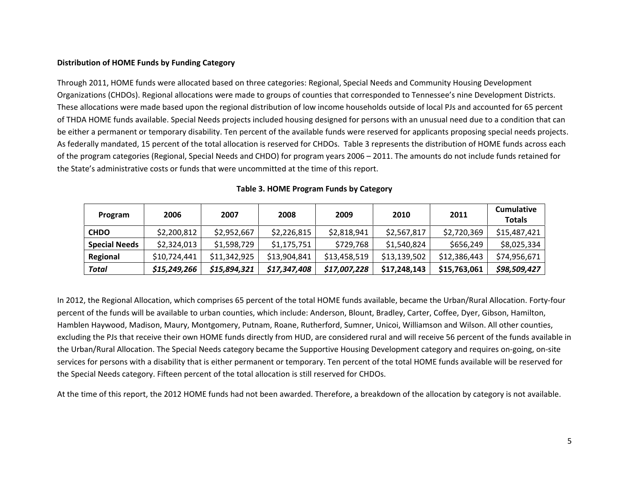### **Distribution of HOME Funds by Funding Category**

Through 2011, HOME funds were allocated based on three categories: Regional, Special Needs and Community Housing Development Organizations (CHDOs). Regional allocations were made to groups of counties that corresponded to Tennessee's nine Development Districts. These allocations were made based upon the regional distribution of low income households outside of local PJs and accounted for 65 percent of THDA HOME funds available. Special Needs projects included housing designed for persons with an unusual need due to <sup>a</sup> condition that can be either <sup>a</sup> permanent or temporary disability. Ten percent of the available funds were reserved for applicants proposing special needs projects. As federally mandated, 15 percent of the total allocation is reserved for CHDOs. Table 3 represents the distribution of HOME funds across each of the program categories (Regional, Special Needs and CHDO) for program years 2006 – 2011. The amounts do not include funds retained for the State's administrative costs or funds that were uncommitted at the time of this report.

| Program              | 2006         | 2007         | 2008         | 2009         | 2010         | 2011         | <b>Cumulative</b><br>Totals |
|----------------------|--------------|--------------|--------------|--------------|--------------|--------------|-----------------------------|
| <b>CHDO</b>          | \$2,200,812  | \$2,952,667  | \$2,226,815  | \$2,818,941  | \$2,567,817  | \$2,720,369  | \$15,487,421                |
| <b>Special Needs</b> | \$2,324,013  | \$1,598,729  | \$1,175,751  | \$729.768    | \$1,540,824  | \$656,249    | \$8,025,334                 |
| Regional             | \$10.724.441 | \$11,342,925 | \$13,904,841 | \$13,458,519 | \$13.139.502 | \$12,386,443 | \$74,956,671                |
| Total                | \$15,249,266 | \$15,894,321 | \$17,347,408 | \$17,007,228 | \$17.248.143 | \$15,763,061 | \$98,509,427                |

# **Table 3. HOME Program Funds by Category**

In 2012, the Regional Allocation, which comprises 65 percent of the total HOME funds available, became the Urban/Rural Allocation. Forty‐four percent of the funds will be available to urban counties, which include: Anderson, Blount, Bradley, Carter, Coffee, Dyer, Gibson, Hamilton, Hamblen Haywood, Madison, Maury, Montgomery, Putnam, Roane, Rutherford, Sumner, Unicoi, Williamson and Wilson. All other counties, excluding the PJs that receive their own HOME funds directly from HUD, are considered rural and will receive 56 percent of the funds available in the Urban/Rural Allocation. The Special Needs category became the Supportive Housing Development category and requires on‐going, on‐site services for persons with <sup>a</sup> disability that is either permanent or temporary. Ten percent of the total HOME funds available will be reserved for the Special Needs category. Fifteen percent of the total allocation is still reserved for CHDOs.

At the time of this report, the 2012 HOME funds had not been awarded. Therefore, <sup>a</sup> breakdown of the allocation by category is not available.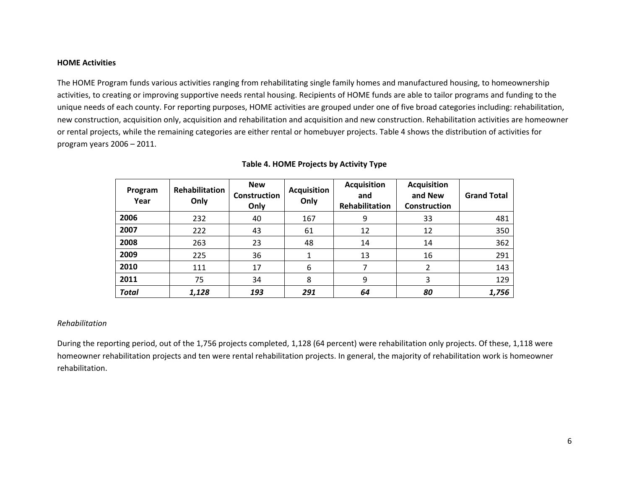### **HOME Activities**

The HOME Program funds various activities ranging from rehabilitating single family homes and manufactured housing, to homeownership activities, to creating or improving supportive needs rental housing. Recipients of HOME funds are able to tailor programs and funding to the unique needs of each county. For reporting purposes, HOME activities are grouped under one of five broad categories including: rehabilitation, new construction, acquisition only, acquisition and rehabilitation and acquisition and new construction. Rehabilitation activities are homeowner or rental projects, while the remaining categories are either rental or homebuyer projects. Table 4 shows the distribution of activities for program years 2006 – 2011.

| Program<br>Year | Rehabilitation<br>Only | <b>New</b><br>Construction<br>Only | <b>Acquisition</b><br>Only | <b>Acquisition</b><br>and<br>Rehabilitation | <b>Acquisition</b><br>and New<br><b>Construction</b> | <b>Grand Total</b> |
|-----------------|------------------------|------------------------------------|----------------------------|---------------------------------------------|------------------------------------------------------|--------------------|
| 2006            | 232                    | 40                                 | 167                        | 9                                           | 33                                                   | 481                |
| 2007            | 222                    | 43                                 | 61                         | 12                                          | 12                                                   | 350                |
| 2008            | 263                    | 23                                 | 48                         | 14                                          | 14                                                   | 362                |
| 2009            | 225                    | 36                                 | 1                          | 13                                          | 16                                                   | 291                |
| 2010            | 111                    | 17                                 | 6                          |                                             | 2                                                    | 143                |
| 2011            | 75                     | 34                                 | 8                          | 9                                           | 3                                                    | 129                |
| <b>Total</b>    | 1,128                  | 193                                | 291                        | 64                                          | 80                                                   | 1,756              |

# **Table 4. HOME Projects by Activity Type**

# *Rehabilitation*

During the reporting period, out of the 1,756 projects completed, 1,128 (64 percent) were rehabilitation only projects. Of these, 1,118 were homeowner rehabilitation projects and ten were rental rehabilitation projects. In general, the majority of rehabilitation work is homeowner rehabilitation.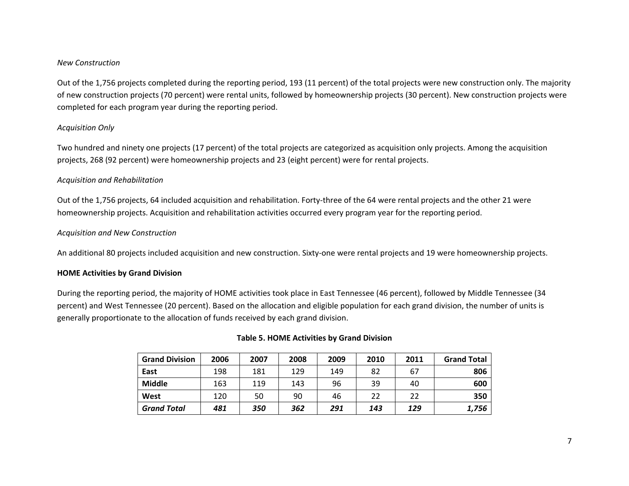# *New Construction*

Out of the 1,756 projects completed during the reporting period, 193 (11 percent) of the total projects were new construction only. The majority of new construction projects (70 percent) were rental units, followed by homeownership projects (30 percent). New construction projects were completed for each program year during the reporting period.

# *Acquisition Only*

Two hundred and ninety one projects (17 percent) of the total projects are categorized as acquisition only projects. Among the acquisition projects, 268 (92 percent) were homeownership projects and 23 (eight percent) were for rental projects.

# *Acquisition and Rehabilitation*

Out of the 1,756 projects, 64 included acquisition and rehabilitation. Forty‐three of the 64 were rental projects and the other 21 were homeownership projects. Acquisition and rehabilitation activities occurred every program year for the reporting period.

# *Acquisition and New Construction*

An additional 80 projects included acquisition and new construction. Sixty‐one were rental projects and 19 were homeownership projects.

# **HOME Activities by Grand Division**

During the reporting period, the majority of HOME activities took place in East Tennessee (46 percent), followed by Middle Tennessee (34 percent) and West Tennessee (20 percent). Based on the allocation and eligible population for each grand division, the number of units is generally proportionate to the allocation of funds received by each grand division.

| <b>Grand Division</b> | 2006 | 2007 | 2008 | 2009 | 2010 | 2011 | <b>Grand Total</b> |
|-----------------------|------|------|------|------|------|------|--------------------|
| East                  | 198  | 181  | 129  | 149  | 82   | 67   | 806                |
| <b>Middle</b>         | 163  | 119  | 143  | 96   | 39   | 40   | 600                |
| West                  | 120  | 50   | 90   | 46   | 22   | 22   | 350                |
| <b>Grand Total</b>    | 481  | 350  | 362  | 291  | 143  | 129  | 1,756              |

# **Table 5. HOME Activities by Grand Division**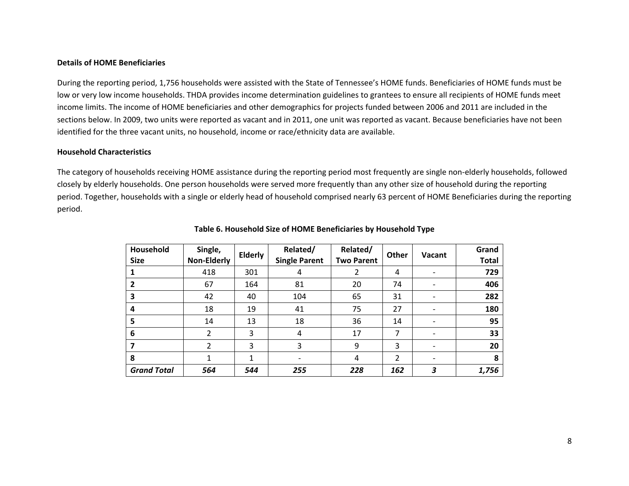### **Details of HOME Beneficiaries**

During the reporting period, 1,756 households were assisted with the State of Tennessee's HOME funds. Beneficiaries of HOME funds must be low or very low income households. THDA provides income determination guidelines to grantees to ensure all recipients of HOME funds meet income limits. The income of HOME beneficiaries and other demographics for projects funded between 2006 and 2011 are included in the sections below. In 2009, two units were reported as vacant and in 2011, one unit was reported as vacant. Because beneficiaries have not been identified for the three vacant units, no household, income or race/ethnicity data are available.

### **Household Characteristics**

The category of households receiving HOME assistance during the reporting period most frequently are single non‐elderly households, followed closely by elderly households. One person households were served more frequently than any other size of household during the reporting period. Together, households with <sup>a</sup> single or elderly head of household comprised nearly 63 percent of HOME Beneficiaries during the reporting period.

| Household<br><b>Size</b> | Single,<br><b>Non-Elderly</b> | <b>Elderly</b> | Related/<br><b>Single Parent</b> | Related/<br><b>Two Parent</b> | Other | Vacant | Grand<br><b>Total</b> |
|--------------------------|-------------------------------|----------------|----------------------------------|-------------------------------|-------|--------|-----------------------|
|                          | 418                           | 301            | 4                                | 2                             | 4     |        | 729                   |
| 2                        | 67                            | 164            | 81                               | 20                            | 74    |        | 406                   |
| 3                        | 42                            | 40             | 104                              | 65                            | 31    |        | 282                   |
| 4                        | 18                            | 19             | 41                               | 75                            | 27    |        | 180                   |
| 5                        | 14                            | 13             | 18                               | 36                            | 14    |        | 95                    |
| 6                        | 2                             | 3              | 4                                | 17                            | 7     |        | 33                    |
|                          | 2                             | 3              | 3                                | 9                             | 3     |        | 20                    |
| 8                        | 1                             | 1              | $\overline{\phantom{a}}$         | 4                             | 2     | -      | 8                     |
| <b>Grand Total</b>       | 564                           | 544            | 255                              | 228                           | 162   | 3      | 1,756                 |

#### **Table 6. Household Size of HOME Beneficiaries by Household Type**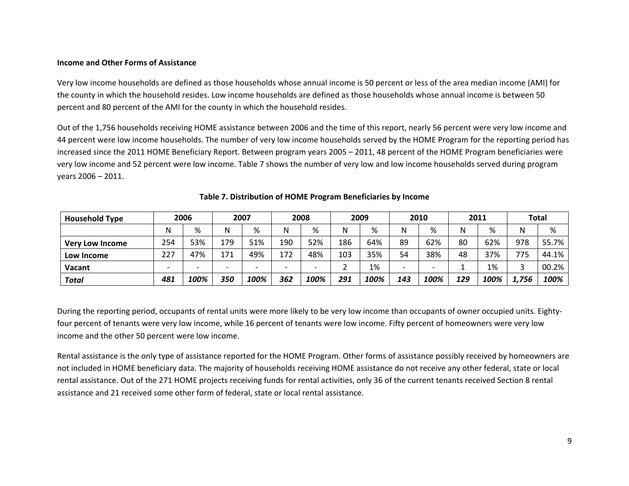### **Income and Other Forms of Assistance**

Very low income households are defined as those households whose annual income is 50 percent or less of the area median income (AMI) for the county in which the household resides. Low income households are defined as those households whose annual income is between 50 percent and 80 percent of the AMI for the county in which the household resides.

Out of the 1,756 households receiving HOME assistance between 2006 and the time of this report, nearly 56 percent were very low income and 44 percent were low income households. The number of very low income households served by the HOME Program for the reporting period has increased since the 2011 HOME Beneficiary Report. Between program years 2005 – 2011, 48 percent of the HOME Program beneficiaries were very low income and 52 percent were low income. Table 7 shows the number of very low and low income households served during program years 2006 – 2011.

| <b>Household Type</b>  |     | 2006                     | 2007                     |                          |                          | 2008                     |     | 2009 |                          | 2010 |     | 2011 |       | <b>Total</b> |
|------------------------|-----|--------------------------|--------------------------|--------------------------|--------------------------|--------------------------|-----|------|--------------------------|------|-----|------|-------|--------------|
|                        | N   | %                        | N                        | %                        | N                        | %                        | N   | %    | N                        | %    | N   | %    | N     | %            |
| <b>Very Low Income</b> | 254 | 53%                      | 179                      | 51%                      | 190                      | 52%                      | 186 | 64%  | 89                       | 62%  | 80  | 62%  | 978   | 55.7%        |
| Low Income             | 227 | 47%                      | 171                      | 49%                      | 172                      | 48%                      | 103 | 35%  | 54                       | 38%  | 48  | 37%  | 775   | 44.1%        |
| Vacant                 |     | $\overline{\phantom{0}}$ | $\overline{\phantom{0}}$ | $\overline{\phantom{0}}$ | $\overline{\phantom{0}}$ | $\overline{\phantom{0}}$ |     | 1%   | $\overline{\phantom{0}}$ |      |     | 1%   |       | 00.2%        |
| Total                  | 481 | 100%                     | 350                      | 100%                     | 362                      | 100%                     | 291 | 100% | 143                      | 100% | 129 | 100% | 1.756 | 100%         |

# **Table 7. Distribution of HOME Program Beneficiaries by Income**

During the reporting period, occupants of rental units were more likely to be very low income than occupants of owner occupied units. Eightyfour percent of tenants were very low income, while 16 percent of tenants were low income. Fifty percent of homeowners were very low income and the other 50 percent were low income.

Rental assistance is the only type of assistance reported for the HOME Program. Other forms of assistance possibly received by homeowners are not included in HOME beneficiary data. The majority of households receiving HOME assistance do not receive any other federal, state or local rental assistance. Out of the 271 HOME projects receiving funds for rental activities, only 36 of the current tenants received Section 8 rental assistance and 21 received some other form of federal, state or local rental assistance.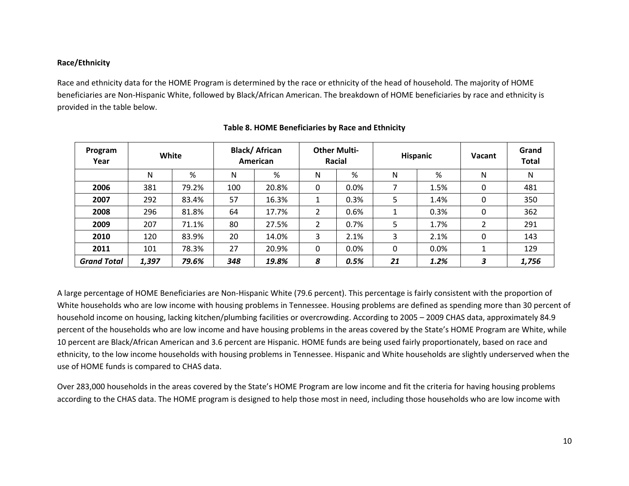# **Race/Ethnicity**

Race and ethnicity data for the HOME Program is determined by the race or ethnicity of the head of household. The majority of HOME beneficiaries are Non‐Hispanic White, followed by Black/African American. The breakdown of HOME beneficiaries by race and ethnicity is provided in the table below.

| Program<br>Year    | White |       |     | <b>Black/African</b><br>American | <b>Other Multi-</b><br>Racial |      | <b>Hispanic</b> |      | Vacant      | Grand<br><b>Total</b> |
|--------------------|-------|-------|-----|----------------------------------|-------------------------------|------|-----------------|------|-------------|-----------------------|
|                    | N     | %     | N   | %                                | N                             | %    | N               | %    | N           | N                     |
| 2006               | 381   | 79.2% | 100 | 20.8%                            | 0                             | 0.0% | 7               | 1.5% | 0           | 481                   |
| 2007               | 292   | 83.4% | 57  | 16.3%                            |                               | 0.3% | 5               | 1.4% | $\mathbf 0$ | 350                   |
| 2008               | 296   | 81.8% | 64  | 17.7%                            | 2                             | 0.6% | 1               | 0.3% | $\mathbf 0$ | 362                   |
| 2009               | 207   | 71.1% | 80  | 27.5%                            | $\overline{2}$                | 0.7% | 5               | 1.7% | 2           | 291                   |
| 2010               | 120   | 83.9% | 20  | 14.0%                            | 3                             | 2.1% | 3               | 2.1% | 0           | 143                   |
| 2011               | 101   | 78.3% | 27  | 20.9%                            | 0                             | 0.0% | $\Omega$        | 0.0% |             | 129                   |
| <b>Grand Total</b> | 1,397 | 79.6% | 348 | 19.8%                            | 8                             | 0.5% | 21              | 1.2% | 3           | 1,756                 |

# **Table 8. HOME Beneficiaries by Race and Ethnicity**

A large percentage of HOME Beneficiaries are Non-Hispanic White (79.6 percent). This percentage is fairly consistent with the proportion of White households who are low income with housing problems in Tennessee. Housing problems are defined as spending more than 30 percent of household income on housing, lacking kitchen/plumbing facilities or overcrowding. According to 2005 – 2009 CHAS data, approximately 84.9 percent of the households who are low income and have housing problems in the areas covered by the State's HOME Program are White, while 10 percent are Black/African American and 3.6 percent are Hispanic. HOME funds are being used fairly proportionately, based on race and ethnicity, to the low income households with housing problems in Tennessee. Hispanic and White households are slightly underserved when the use of HOME funds is compared to CHAS data.

Over 283,000 households in the areas covered by the State's HOME Program are low income and fit the criteria for having housing problems according to the CHAS data. The HOME program is designed to help those most in need, including those households who are low income with